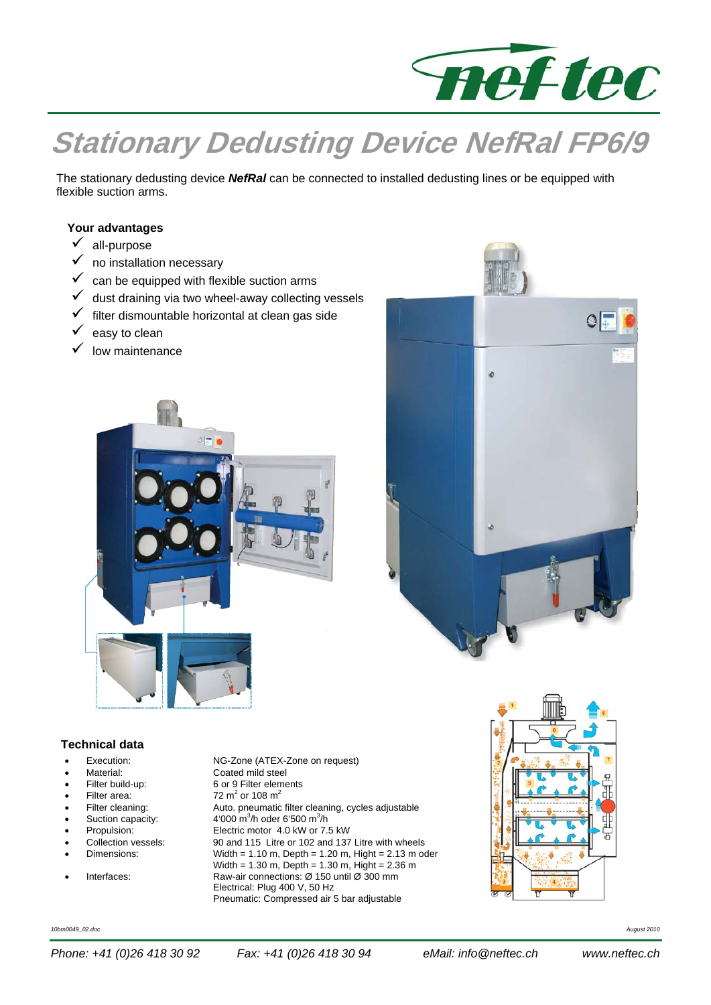

# **Stationary Dedusting Device NefRal FP6/9**

The stationary dedusting device *NefRal* can be connected to installed dedusting lines or be equipped with flexible suction arms.

### **Your advantages**

- $\checkmark$  all-purpose
- $\checkmark$  no installation necessary
- $\checkmark$  can be equipped with flexible suction arms
- dust draining via two wheel-away collecting vessels
- filter dismountable horizontal at clean gas side
- easy to clean
- low maintenance





#### **Technical data**

- 
- 
- 
- Filter area:<br>Filter cleaning:
- 
- Suction capacity:<br>Propulsion:
- 
- 
- 
- 

 Execution: NG-Zone (ATEX-Zone on request) Material: Coated mild steel<br>Filter build-up: 6 or 9 Filter eleme 6 or 9 Filter elements 72  $m^2$  or 108  $m^2$ Auto. pneumatic filter cleaning, cycles adjustable /h oder 6'500 m<sup>3</sup>/h Propulsion: Electric motor 4.0 kW or 7.5 kW<br>Collection vessels: 90 and 115 Litre or 102 and 137 Collection vessels: 90 and 115 Litre or 102 and 137 Litre with wheels<br>Dimensions: Width = 1.10 m, Depth = 1.20 m, Hight = 2.13 m or  $Width = 1.10 m$ , Depth = 1.20 m, Hight = 2.13 m oder Width =  $1.30 \text{ m}$ . Depth =  $1.30 \text{ m}$ . Hight =  $2.36 \text{ m}$  Interfaces: Raw-air connections: Ø 150 until Ø 300 mm Electrical: Plug 400 V, 50 Hz Pneumatic: Compressed air 5 bar adjustable



*10bm0049\_02.doc August 2010*